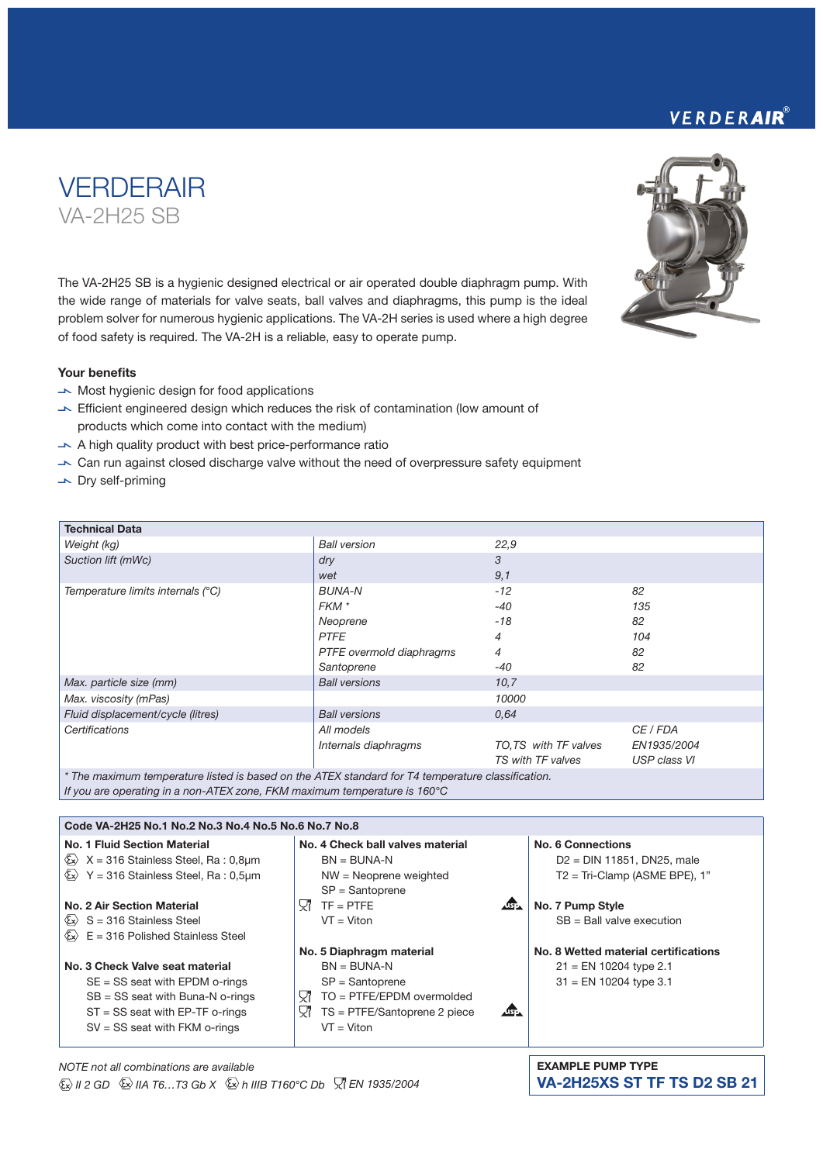The VA-2H25 SB is a hygienic designed electrical or air operated double diaphragm pump. With the wide range of materials for valve seats, ball valves and diaphragms, this pump is the ideal problem solver for numerous hygienic applications. The VA-2H series is used where a high degree of food safety is required. The VA-2H is a reliable, easy to operate pump.

#### Your benefits

VERDERAIR

VA-2H25 SB

- $\rightarrow$  Most hygienic design for food applications
- $\rightarrow$  Efficient engineered design which reduces the risk of contamination (low amount of products which come into contact with the medium)
- $\blacktriangleright$  A high quality product with best price-performance ratio
- V Can run against closed discharge valve without the need of overpressure safety equipment
- $\overline{\phantom{a}}$  Dry self-priming

| <b>Technical Data</b>                                                                             |                          |                      |              |
|---------------------------------------------------------------------------------------------------|--------------------------|----------------------|--------------|
| Weight (kg)                                                                                       | <b>Ball version</b>      | 22,9                 |              |
| Suction lift (mWc)                                                                                | dry                      | 3                    |              |
|                                                                                                   | wet                      | 9,1                  |              |
| Temperature limits internals (°C)                                                                 | <b>BUNA-N</b>            | $-12$                | 82           |
|                                                                                                   | FKM *                    | $-40$                | 135          |
|                                                                                                   | Neoprene                 | $-18$                | 82           |
|                                                                                                   | <b>PTFE</b>              | $\overline{4}$       | 104          |
|                                                                                                   | PTFE overmold diaphragms | 4                    | 82           |
|                                                                                                   | Santoprene               | -40                  | 82           |
| Max. particle size (mm)                                                                           | <b>Ball versions</b>     | 10,7                 |              |
| Max. viscosity (mPas)                                                                             |                          | 10000                |              |
| Fluid displacement/cycle (litres)                                                                 | <b>Ball versions</b>     | 0.64                 |              |
| Certifications                                                                                    | All models               |                      | CE / FDA     |
|                                                                                                   | Internals diaphragms     | TO.TS with TF valves | EN1935/2004  |
|                                                                                                   |                          | TS with TF valves    | USP class VI |
| * The maximum temperature listed is based on the ATEX standard for T4 temperature classification. |                          |                      |              |

*If you are operating in a non-ATEX zone, FKM maximum temperature is 160°C*

Code VA-2H25 No.1 No.2 No.3 No.4 No.5 No.6 No.7 No.8 No. 1 Fluid Section Material No. 4 Check ball valves material No. 6 Connections  $\&$   $X = 316$  Stainless Steel, Ra : 0,8µm  $BN = BUNA-N$ D2 = DIN 11851, DN25, male  $\overline{\mathbb{Q}}$  Y = 316 Stainless Steel, Ra : 0,5µm NW = Neoprene weighted T2 = Tri-Clamp (ASME BPE), 1" SP = Santoprene  $\nabla$ <sup>7</sup> TF = PTFE  $\mathbf{E}$  . No. 2 Air Section Material No. 7 Pump Style  $\overline{\mathbb{E}}$  S = 316 Stainless Steel  $VT = Viton$ SB = Ball valve execution  $\overline{\mathbb{E}}$  E = 316 Polished Stainless Steel No. 5 Diaphragm material No. 8 Wetted material certifications No. 3 Check Valve seat material  $BN = BUNA-N$ 21 = EN 10204 type 2.1 SE = SS seat with EPDM o-rings SP = Santoprene 31 = EN 10204 type 3.1 SB = SS seat with Buna-N o-rings  $\overline{\mathsf{V}}$  TO = PTFE/EPDM overmolded **ABL** ST = SS seat with EP-TF o-rings  $\nabla$  TS = PTFE/Santoprene 2 piece SV = SS seat with FKM o-rings VT = Viton

*NOTE not all combinations are available II 2 GD IIA T6…T3 Gb X h IIIB T160°C Db EN 1935/2004*

# VERDERAIR®



EXAMPLE PUMP TYPE VA-2H25XS ST TF TS D2 SB 21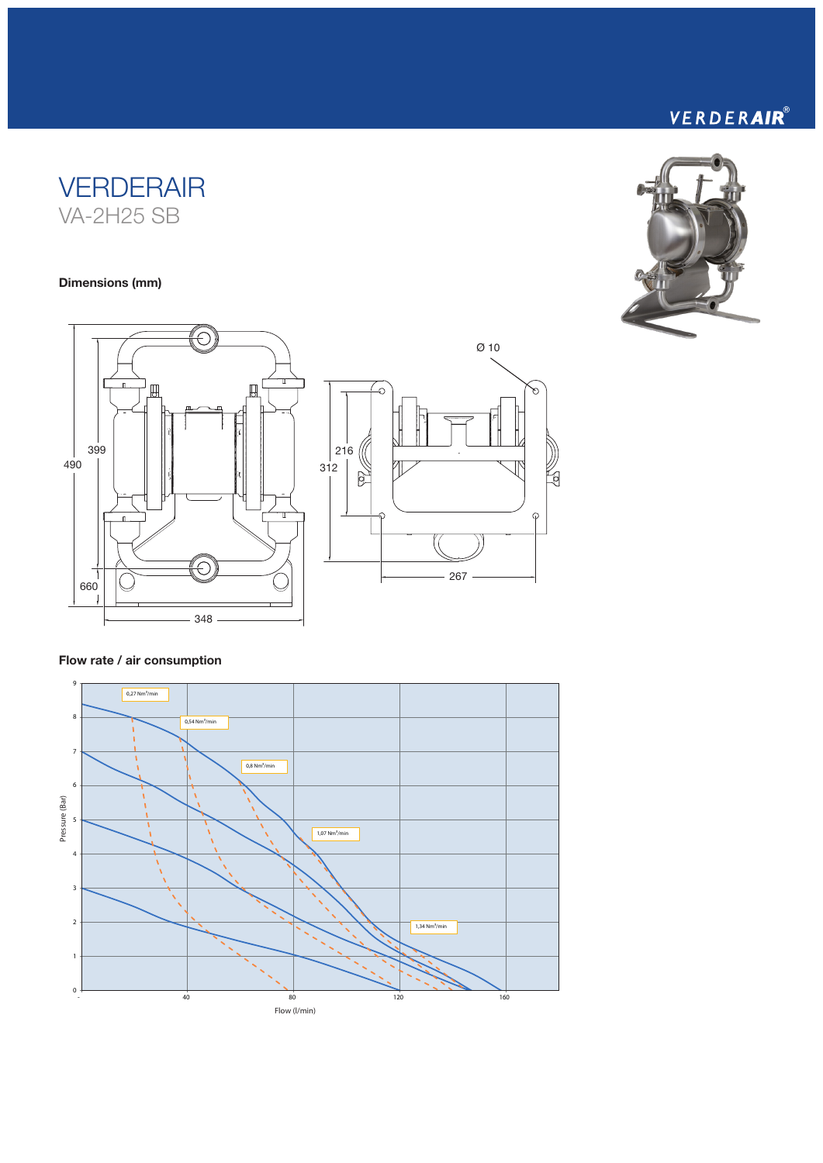

## Dimensions (mm)





Ø 10

 $\varphi$ 

 $\varphi$ 

 $\frac{\varepsilon}{\sqrt{3}}$ 

### Flow rate / air consumption



# VERDERAIR®